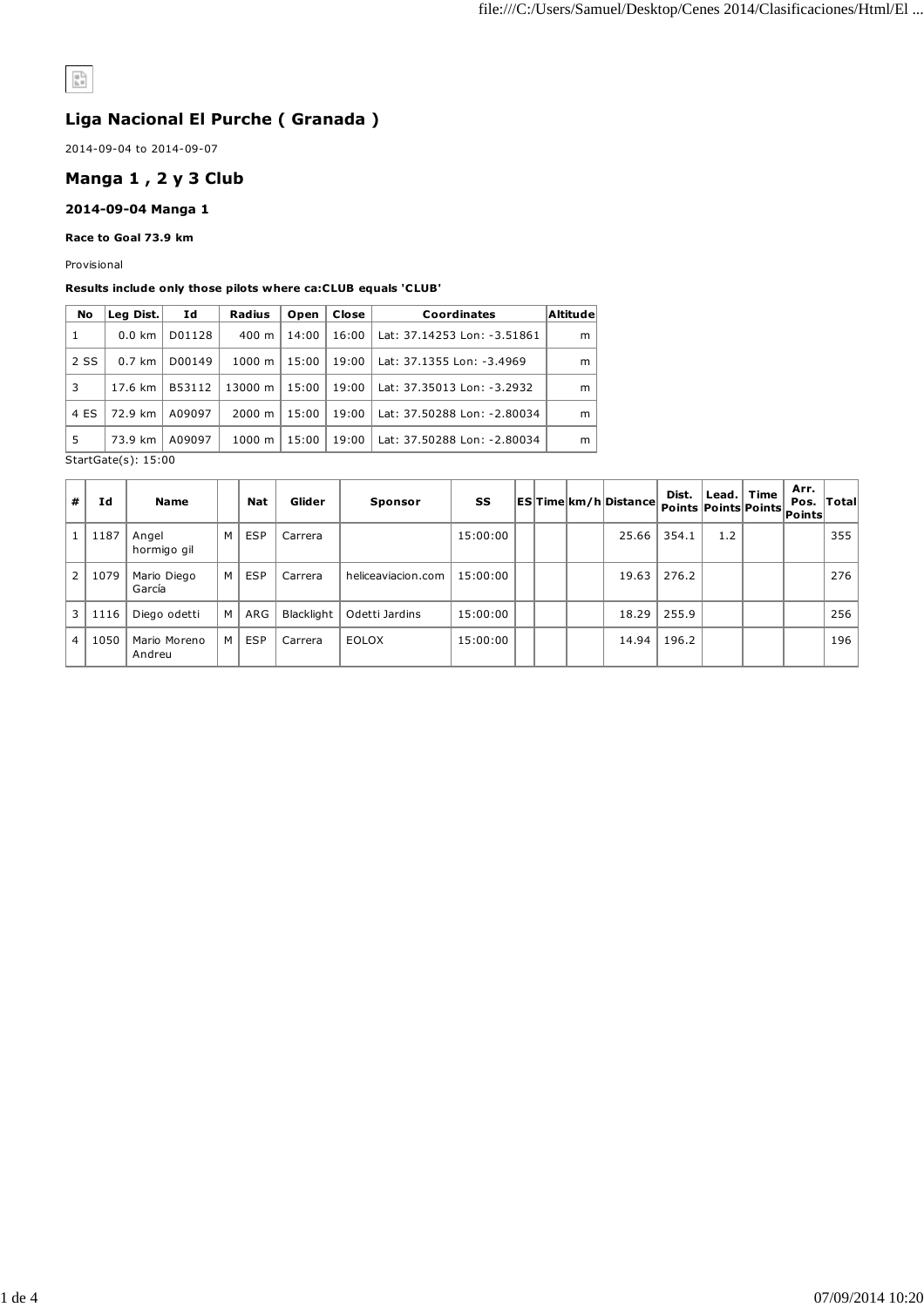# $\frac{1}{\mathbb{R}^n}$

## **Liga Nacional El Purche ( Granada )**

2014-09-04 to 2014-09-07

## **Manga 1 , 2 y 3 Club**

#### **2014-09-04 Manga 1**

### **Race to Goal 73.9 km**

Provisional

#### **Results include only those pilots where ca:CLUB equals 'CLUB'**

|   | <b>No</b> | Leg Dist.        | Id     | Radius             | Open  | Close | Coordinates                 | Altitude |
|---|-----------|------------------|--------|--------------------|-------|-------|-----------------------------|----------|
| 1 |           | $0.0 \text{ km}$ | D01128 | $400 \; \text{m}$  | 14:00 | 16:00 | Lat: 37.14253 Lon: -3.51861 | m        |
|   | 2 SS      | $0.7 \text{ km}$ | D00149 | $1000 \; \text{m}$ | 15:00 | 19:00 | Lat: 37.1355 Lon: -3.4969   | m        |
| 3 |           | 17.6 km          | B53112 | 13000 m            | 15:00 | 19:00 | Lat: 37.35013 Lon: -3.2932  | m        |
|   | 4 ES      | 72.9 km          | A09097 | $2000 \; \text{m}$ | 15:00 | 19:00 | Lat: 37.50288 Lon: -2.80034 | m        |
| 5 |           | 73.9 km          | A09097 | 1000 m             | 15:00 | 19:00 | Lat: 37.50288 Lon: -2.80034 | m        |
|   |           | _ _ _ _ _ _ _    |        |                    |       |       |                             |          |

StartGate(s): 15:00

| #            | Ιd   | <b>Name</b>            |   | Nat        | Glider     | <b>Sponsor</b>     | SS       |  | <b>ESTime km/h Distance</b> | Dist.<br>Points Points Points |     | Lead. $ $ Time | Arr.<br>Pos.<br> Points | $\sf {Total}$ |
|--------------|------|------------------------|---|------------|------------|--------------------|----------|--|-----------------------------|-------------------------------|-----|----------------|-------------------------|---------------|
|              | 1187 | Angel<br>hormigo gil   | M | <b>ESP</b> | Carrera    |                    | 15:00:00 |  | 25.66                       | 354.1                         | 1.2 |                |                         | 355           |
| $\mathbf{2}$ | 1079 | Mario Diego<br>García  | М | <b>ESP</b> | Carrera    | heliceaviacion.com | 15:00:00 |  | 19.63                       | 276.2                         |     |                |                         | 276           |
| 3            | 1116 | Diego odetti           | M | ARG        | Blacklight | Odetti Jardins     | 15:00:00 |  | 18.29                       | 255.9                         |     |                |                         | 256           |
| 4            | 1050 | Mario Moreno<br>Andreu | М | <b>ESP</b> | Carrera    | <b>EOLOX</b>       | 15:00:00 |  | 14.94                       | 196.2                         |     |                |                         | 196           |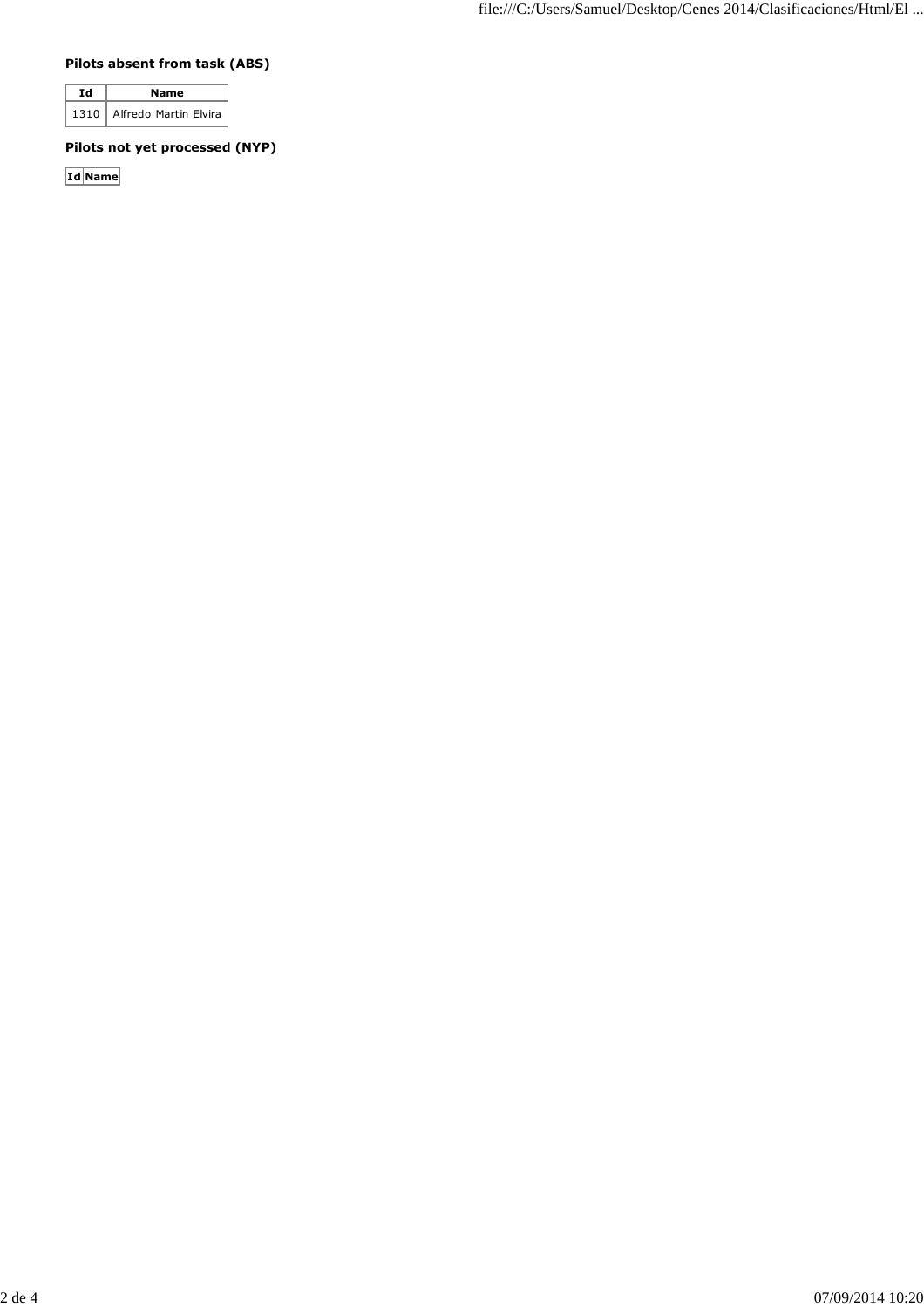## **Pilots absent from task (ABS)**

| тл | Name                         |  |  |  |  |
|----|------------------------------|--|--|--|--|
|    | 1310   Alfredo Martin Elvira |  |  |  |  |

## **Pilots not yet processed (NYP)**

**Id Name**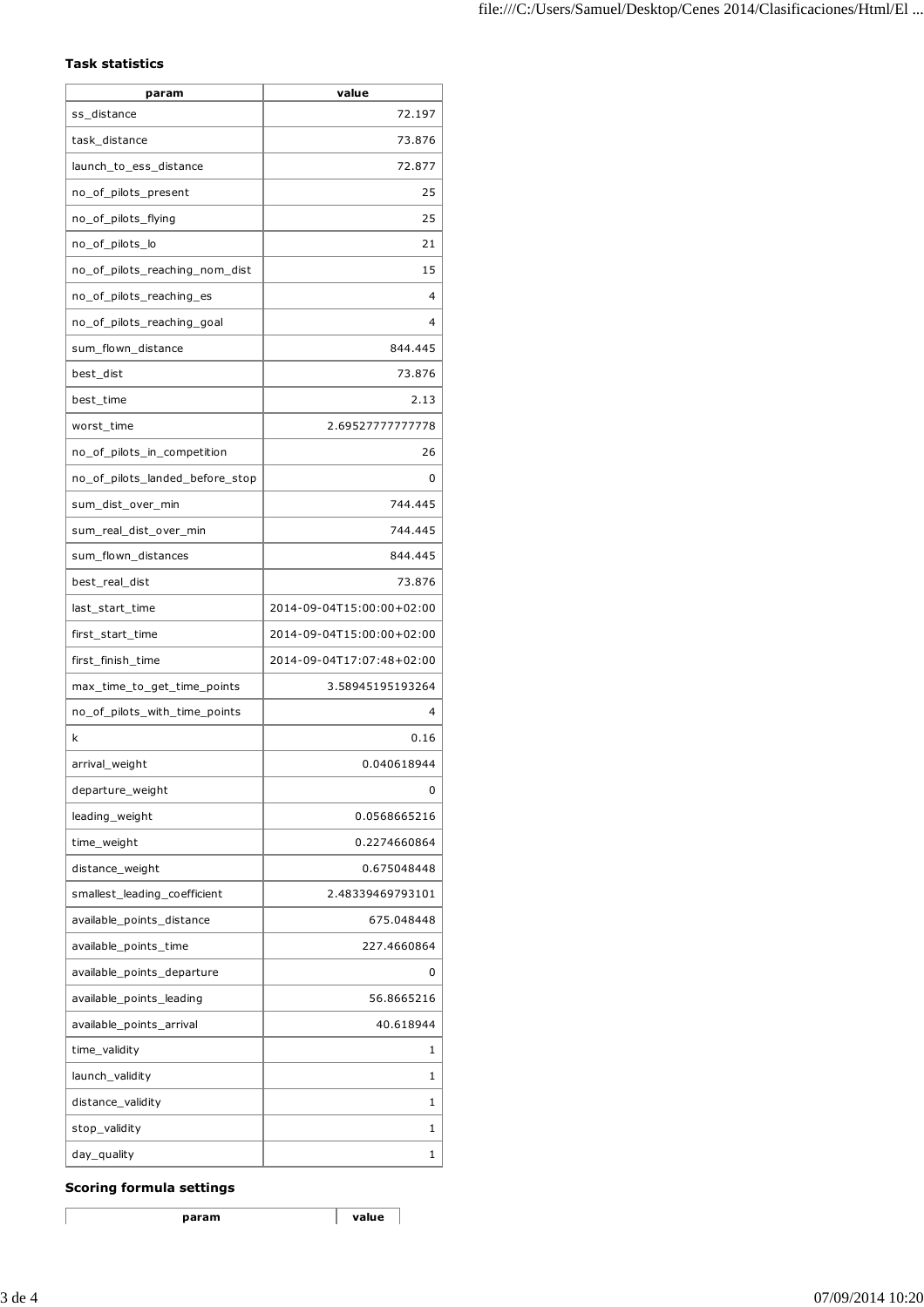## **Task statistics**

| param                           | value                     |
|---------------------------------|---------------------------|
| ss_distance                     | 72.197                    |
| task_distance                   | 73.876                    |
| launch_to_ess_distance          | 72.877                    |
| no_of_pilots_present            | 25                        |
| no_of_pilots_flying             | 25                        |
| no_of_pilots_lo                 | 21                        |
| no_of_pilots_reaching_nom_dist  | 15                        |
| no_of_pilots_reaching_es        | 4                         |
| no_of_pilots_reaching_goal      | 4                         |
| sum_flown_distance              | 844.445                   |
| best_dist                       | 73.876                    |
| best time                       | 2.13                      |
| worst_time                      | 2.69527777777778          |
| no_of_pilots_in_competition     | 26                        |
| no_of_pilots_landed_before_stop | 0                         |
| sum_dist_over_min               | 744.445                   |
| sum_real_dist_over_min          | 744.445                   |
| sum_flown_distances             | 844.445                   |
| best_real_dist                  | 73.876                    |
| last_start_time                 | 2014-09-04T15:00:00+02:00 |
| first_start_time                | 2014-09-04T15:00:00+02:00 |
| first_finish_time               | 2014-09-04T17:07:48+02:00 |
| max_time_to_get_time_points     | 3.58945195193264          |
| no_of_pilots_with_time_points   | 4                         |
| k                               | 0.16                      |
| arrival_weight                  | 0.040618944               |
| departure_weight                | 0                         |
| leading_weight                  | 0.0568665216              |
| time_weight                     | 0.2274660864              |
| distance_weight                 | 0.675048448               |
| smallest_leading_coefficient    | 2.48339469793101          |
| available_points_distance       | 675.048448                |
| available points time           | 227.4660864               |
| available_points_departure      | 0                         |
| available_points_leading        | 56.8665216                |
| available_points_arrival        | 40.618944                 |
| time_validity                   | 1                         |
| launch_validity                 | 1                         |
| distance_validity               | 1                         |
| stop_validity                   | 1                         |
| day_quality                     | 1                         |

## **Scoring formula settings**